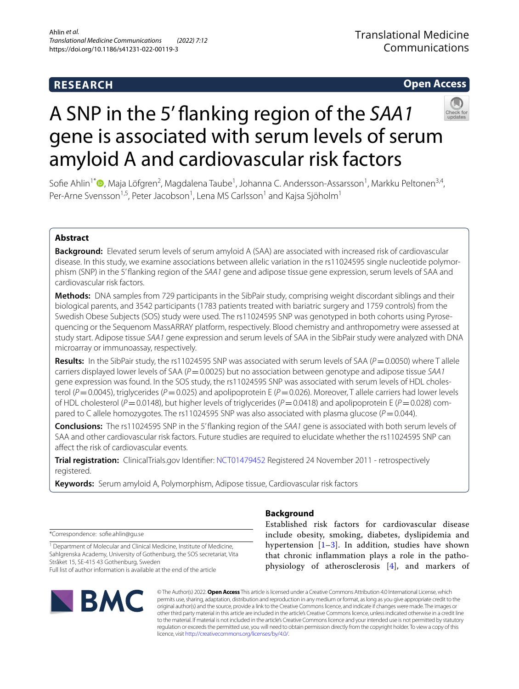# **RESEARCH**

# **Open Access**



# A SNP in the 5' fanking region of the *SAA1* gene is associated with serum levels of serum amyloid A and cardiovascular risk factors

Sofie Ahlin<sup>1[\\*](http://orcid.org/0000-0003-0619-2683)</sup> <sup>(D</sup>, Maja Löfgren<sup>2</sup>, Magdalena Taube<sup>1</sup>, Johanna C. Andersson-Assarsson<sup>1</sup>, Markku Peltonen<sup>3,4</sup>, Per-Arne Svensson<sup>1,5</sup>, Peter Jacobson<sup>1</sup>, Lena MS Carlsson<sup>1</sup> and Kajsa Sjöholm<sup>1</sup>

# **Abstract**

**Background:** Elevated serum levels of serum amyloid A (SAA) are associated with increased risk of cardiovascular disease. In this study, we examine associations between allelic variation in the rs11024595 single nucleotide polymorphism (SNP) in the 5' fanking region of the *SAA1* gene and adipose tissue gene expression, serum levels of SAA and cardiovascular risk factors.

**Methods:** DNA samples from 729 participants in the SibPair study, comprising weight discordant siblings and their biological parents, and 3542 participants (1783 patients treated with bariatric surgery and 1759 controls) from the Swedish Obese Subjects (SOS) study were used. The rs11024595 SNP was genotyped in both cohorts using Pyrosequencing or the Sequenom MassARRAY platform, respectively. Blood chemistry and anthropometry were assessed at study start. Adipose tissue *SAA1* gene expression and serum levels of SAA in the SibPair study were analyzed with DNA microarray or immunoassay, respectively.

**Results:** In the SibPair study, the rs11024595 SNP was associated with serum levels of SAA ( $P = 0.0050$ ) where T allele carriers displayed lower levels of SAA (*P*=0.0025) but no association between genotype and adipose tissue *SAA1* gene expression was found. In the SOS study, the rs11024595 SNP was associated with serum levels of HDL cholesterol ( $P=0.0045$ ), triglycerides ( $P=0.025$ ) and apolipoprotein E ( $P=0.026$ ). Moreover, T allele carriers had lower levels of HDL cholesterol (*P*=0.0148), but higher levels of triglycerides (*P*=0.0418) and apolipoprotein E (*P*=0.028) com‑ pared to C allele homozygotes. The rs11024595 SNP was also associated with plasma glucose ( $P=0.044$ ).

**Conclusions:** The rs11024595 SNP in the 5' fanking region of the *SAA1* gene is associated with both serum levels of SAA and other cardiovascular risk factors. Future studies are required to elucidate whether the rs11024595 SNP can afect the risk of cardiovascular events.

**Trial registration:** ClinicalTrials.gov Identifer: [NCT01479452](https://clinicaltrials.gov/ct2/show/NCT01479452) Registered 24 November 2011 - retrospectively registered.

**Keywords:** Serum amyloid A, Polymorphism, Adipose tissue, Cardiovascular risk factors

\*Correspondence: sofe.ahlin@gu.se

<sup>1</sup> Department of Molecular and Clinical Medicine, Institute of Medicine, Sahlgrenska Academy, University of Gothenburg, the SOS secretariat, Vita Stråket 15, SE‑415 43 Gothenburg, Sweden Full list of author information is available at the end of the article



# **Background**

Established risk factors for cardiovascular disease include obesity, smoking, diabetes, dyslipidemia and hypertension  $[1-3]$  $[1-3]$ . In addition, studies have shown that chronic infammation plays a role in the pathophysiology of atherosclerosis [[4](#page-6-2)], and markers of

© The Author(s) 2022. **Open Access** This article is licensed under a Creative Commons Attribution 4.0 International License, which permits use, sharing, adaptation, distribution and reproduction in any medium or format, as long as you give appropriate credit to the original author(s) and the source, provide a link to the Creative Commons licence, and indicate if changes were made. The images or other third party material in this article are included in the article's Creative Commons licence, unless indicated otherwise in a credit line to the material. If material is not included in the article's Creative Commons licence and your intended use is not permitted by statutory regulation or exceeds the permitted use, you will need to obtain permission directly from the copyright holder. To view a copy of this licence, visit [http://creativecommons.org/licenses/by/4.0/.](http://creativecommons.org/licenses/by/4.0/)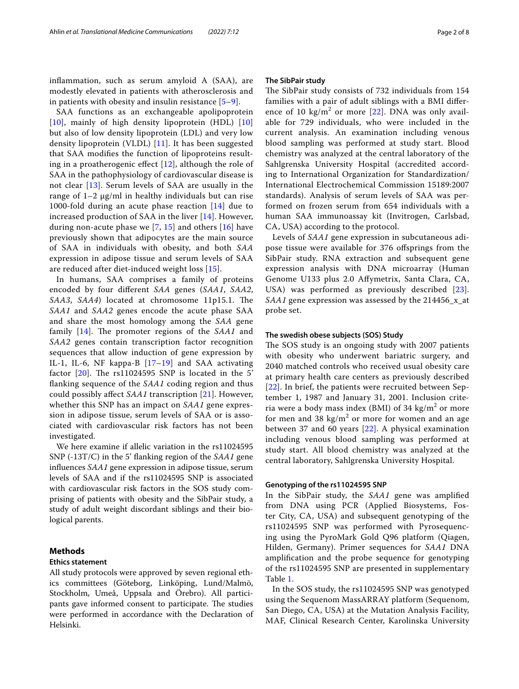infammation, such as serum amyloid A (SAA), are modestly elevated in patients with atherosclerosis and in patients with obesity and insulin resistance  $[5-9]$  $[5-9]$ .

SAA functions as an exchangeable apolipoprotein [[10](#page-6-5)], mainly of high density lipoprotein (HDL) [\[10](#page-6-5)] but also of low density lipoprotein (LDL) and very low density lipoprotein (VLDL) [[11\]](#page-6-6). It has been suggested that SAA modifes the function of lipoproteins resulting in a proatherogenic effect  $[12]$  $[12]$ , although the role of SAA in the pathophysiology of cardiovascular disease is not clear [[13](#page-7-1)]. Serum levels of SAA are usually in the range of  $1-2 \mu g/ml$  in healthy individuals but can rise 1000-fold during an acute phase reaction [[14](#page-7-2)] due to increased production of SAA in the liver [[14\]](#page-7-2). However, during non-acute phase we [[7,](#page-6-7) [15](#page-7-3)] and others [\[16](#page-7-4)] have previously shown that adipocytes are the main source of SAA in individuals with obesity, and both *SAA* expression in adipose tissue and serum levels of SAA are reduced after diet-induced weight loss [[15](#page-7-3)].

In humans, SAA comprises a family of proteins encoded by four diferent *SAA* genes (*SAA1*, *SAA2*, *SAA3*, *SAA4*) located at chromosome 11p15.1. The *SAA1* and *SAA2* genes encode the acute phase SAA and share the most homology among the *SAA* gene family [\[14](#page-7-2)]. The promoter regions of the *SAA1* and *SAA2* genes contain transcription factor recognition sequences that allow induction of gene expression by IL-1, IL-6, NF kappa-B [\[17](#page-7-5)[–19\]](#page-7-6) and SAA activating factor  $[20]$ . The rs11024595 SNP is located in the 5' fanking sequence of the *SAA1* coding region and thus could possibly afect *SAA1* transcription [[21\]](#page-7-8). However, whether this SNP has an impact on *SAA1* gene expression in adipose tissue, serum levels of SAA or is associated with cardiovascular risk factors has not been investigated.

We here examine if allelic variation in the rs11024595 SNP (-13T/C) in the 5' fanking region of the *SAA1* gene infuences *SAA1* gene expression in adipose tissue, serum levels of SAA and if the rs11024595 SNP is associated with cardiovascular risk factors in the SOS study comprising of patients with obesity and the SibPair study, a study of adult weight discordant siblings and their biological parents.

# **Methods**

## **Ethics statement**

All study protocols were approved by seven regional ethics committees (Göteborg, Linköping, Lund/Malmö, Stockholm, Umeå, Uppsala and Örebro). All participants gave informed consent to participate. The studies were performed in accordance with the Declaration of Helsinki.

#### **The SibPair study**

The SibPair study consists of 732 individuals from 154 families with a pair of adult siblings with a BMI diference of 10  $\text{kg/m}^2$  or more [\[22](#page-7-9)]. DNA was only available for 729 individuals, who were included in the current analysis. An examination including venous blood sampling was performed at study start. Blood chemistry was analyzed at the central laboratory of the Sahlgrenska University Hospital (accredited according to International Organization for Standardization/ International Electrochemical Commission 15189:2007 standards). Analysis of serum levels of SAA was performed on frozen serum from 654 individuals with a human SAA immunoassay kit (Invitrogen, Carlsbad, CA, USA) according to the protocol.

Levels of *SAA1* gene expression in subcutaneous adipose tissue were available for 376 ofsprings from the SibPair study. RNA extraction and subsequent gene expression analysis with DNA microarray (Human Genome U133 plus 2.0 Afymetrix, Santa Clara, CA, USA) was performed as previously described [[23\]](#page-7-10). *SAA1* gene expression was assessed by the 214456\_x\_at probe set.

#### **The swedish obese subjects (SOS) Study**

The SOS study is an ongoing study with 2007 patients with obesity who underwent bariatric surgery, and 2040 matched controls who received usual obesity care at primary health care centers as previously described [[22](#page-7-9)]. In brief, the patients were recruited between September 1, 1987 and January 31, 2001. Inclusion criteria were a body mass index (BMI) of 34 kg/m<sup>2</sup> or more for men and 38  $\text{kg/m}^2$  or more for women and an age between 37 and 60 years [[22\]](#page-7-9). A physical examination including venous blood sampling was performed at study start. All blood chemistry was analyzed at the central laboratory, Sahlgrenska University Hospital.

#### **Genotyping of the rs11024595 SNP**

In the SibPair study, the *SAA1* gene was amplifed from DNA using PCR (Applied Biosystems, Foster City, CA, USA) and subsequent genotyping of the rs11024595 SNP was performed with Pyrosequencing using the PyroMark Gold Q96 platform (Qiagen, Hilden, Germany). Primer sequences for *SAA1* DNA amplifcation and the probe sequence for genotyping of the rs11024595 SNP are presented in supplementary Table [1](#page-6-8).

In the SOS study, the rs11024595 SNP was genotyped using the Sequenom MassARRAY platform (Sequenom, San Diego, CA, USA) at the Mutation Analysis Facility, MAF, Clinical Research Center, Karolinska University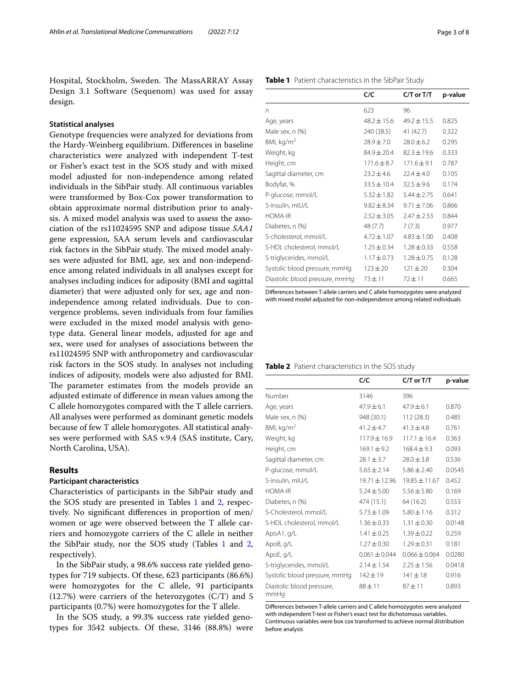Hospital, Stockholm, Sweden. The MassARRAY Assay Design 3.1 Software (Sequenom) was used for assay design.

#### **Statistical analyses**

Genotype frequencies were analyzed for deviations from the Hardy-Weinberg equilibrium. Diferences in baseline characteristics were analyzed with independent T-test or Fisher's exact test in the SOS study and with mixed model adjusted for non-independence among related individuals in the SibPair study. All continuous variables were transformed by Box-Cox power transformation to obtain approximate normal distribution prior to analysis. A mixed model analysis was used to assess the association of the rs11024595 SNP and adipose tissue *SAA1* gene expression, SAA serum levels and cardiovascular risk factors in the SibPair study. The mixed model analyses were adjusted for BMI, age, sex and non-independence among related individuals in all analyses except for analyses including indices for adiposity (BMI and sagittal diameter) that were adjusted only for sex, age and nonindependence among related individuals. Due to convergence problems, seven individuals from four families were excluded in the mixed model analysis with genotype data. General linear models, adjusted for age and sex, were used for analyses of associations between the rs11024595 SNP with anthropometry and cardiovascular risk factors in the SOS study. In analyses not including indices of adiposity, models were also adjusted for BMI. The parameter estimates from the models provide an adjusted estimate of diference in mean values among the C allele homozygotes compared with the T allele carriers. All analyses were performed as dominant genetic models because of few T allele homozygotes. All statistical analyses were performed with SAS v.9.4 (SAS institute, Cary, North Carolina, USA).

# **Results**

#### **Participant characteristics**

Characteristics of participants in the SibPair study and the SOS study are presented in Tables [1](#page-2-0) and [2,](#page-2-1) respectively. No signifcant diferences in proportion of men/ women or age were observed between the T allele carriers and homozygote carriers of the C allele in neither the SibPair study, nor the SOS study (Tables  $1$  and  $2$ , respectively).

In the SibPair study, a 98.6% success rate yielded genotypes for 719 subjects. Of these, 623 participants (86.6%) were homozygotes for the C allele, 91 participants  $(12.7%)$  were carriers of the heterozygotes  $(C/T)$  and 5 participants (0.7%) were homozygotes for the T allele.

In the SOS study, a 99.3% success rate yielded genotypes for 3542 subjects. Of these, 3146 (88.8%) were

<span id="page-2-0"></span>

| Table 1 Patient characteristics in the SibPair Study |
|------------------------------------------------------|
|                                                      |

|                                | C/C             | $C/T$ or $T/T$  | p-value |
|--------------------------------|-----------------|-----------------|---------|
| n                              | 623             | 96              |         |
| Age, years                     | $48.2 + 15.6$   | $49.2 + 15.5$   | 0.825   |
| Male sex, n (%)                | 240 (38.5)      | 41 (42.7)       | 0.322   |
| BMl, kq/m <sup>2</sup>         | $28.9 \pm 7.0$  | $78.0 + 6.2$    | 0.295   |
| Weight, kg                     | $84.9 + 20.4$   | $82.3 + 19.6$   | 0.333   |
| Height, cm                     | $171.6 + 8.7$   | $1716 + 91$     | 0.787   |
| Sagittal diameter, cm          | $23.2 + 4.6$    | $72.4 + 4.0$    | 0.105   |
| Bodyfat, %                     | $33.5 + 10.4$   | $32.5 + 9.6$    | 0.174   |
| P-glucose, mmol/L              | $5.32 + 1.82$   | $5.44 + 2.75$   | 0.641   |
| S-insulin, mIU/L               | $9.82 \pm 8.34$ | $9.71 + 7.06$   | 0.866   |
| HOMA-IR                        | $2.52 + 3.05$   | $7.47 + 7.53$   | 0.844   |
| Diabetes, n (%)                | 48 (7.7)        | 7(7.3)          | 0.977   |
| S-cholesterol, mmol/L          | $4.72 + 1.07$   | $4.83 + 1.00$   | 0.408   |
| S-HDL cholesterol, mmol/L      | $1.25 \pm 0.34$ | $1.28 \pm 0.33$ | 0.558   |
| S-triglycerides, mmol/L        | $1.17 + 0.73$   | $1.28 \pm 0.75$ | 0.128   |
| Systolic blood pressure, mmHg  | $123 \pm 20$    | $121 + 20$      | 0.304   |
| Diastolic blood pressure, mmHg | $73 + 11$       | $72 + 11$       | 0.665   |

Diferences between T-allele carriers and C allele homozygotes were analyzed with mixed model adjusted for non-independence among related individuals

#### <span id="page-2-1"></span>**Table 2** Patient characteristics in the SOS study

|                                   | C/C               | $C/T$ or $T/T$    | p-value |
|-----------------------------------|-------------------|-------------------|---------|
| Number                            | 3146              | 396               |         |
| Age, years                        | $47.9 + 6.1$      | $47.9 + 6.1$      | 0.870   |
| Male sex, n (%)                   | 948 (30.1)        | 112(28.3)         | 0.485   |
| BMI, kg/m <sup>2</sup>            | $41.2 \pm 4.7$    | $41.3 + 4.8$      | 0.761   |
| Weight, kg                        | $117.9 + 16.9$    | $117.1 \pm 16.4$  | 0.363   |
| Height, cm                        | $169.1 + 9.2$     | $168.4 + 9.3$     | 0.093   |
| Sagittal diameter, cm             | $28.1 \pm 3.7$    | $28.0 \pm 3.8$    | 0.536   |
| P-glucose, mmol/L                 | $5.65 + 2.14$     | $5.86 + 2.40$     | 0.0545  |
| S-insulin, mIU/L                  | $19.71 \pm 12.96$ | 19.85 ± 11.67     | 0.452   |
| <b>HOMA-IR</b>                    | $5.24 + 5.00$     | $5.56 + 5.80$     | 0.169   |
| Diabetes, n (%)                   | 474 (15.1)        | 64 (16.2)         | 0.553   |
| S-Cholesterol, mmol/L             | $5.73 \pm 1.09$   | $5.80 \pm 1.16$   | 0.312   |
| S-HDL cholesterol, mmol/L         | $1.36 \pm 0.33$   | $1.31 \pm 0.30$   | 0.0148  |
| ApoA1, g/L                        | $1.41 \pm 0.25$   | $1.39 + 0.22$     | 0.259   |
| ApoB, g/L                         | $1.27 \pm 0.30$   | $1.29 \pm 0.31$   | 0.181   |
| ApoE, g/L                         | $0.061 \pm 0.044$ | $0.066 \pm 0.064$ | 0.0280  |
| S-triglycerides, mmol/L           | $2.14 \pm 1.54$   | $2.25 \pm 1.56$   | 0.0418  |
| Systolic blood pressure, mmHg     | $142 \pm 19$      | $141 + 18$        | 0.916   |
| Diastolic blood pressure,<br>mmHq | $88 + 11$         | $87 + 11$         | 0.893   |

Diferences between T-allele carriers and C allele homozygotes were analyzed with independent T-test or Fisher's exact test for dichotomous variables. Continuous variables were box cox transformed to achieve normal distribution before analysis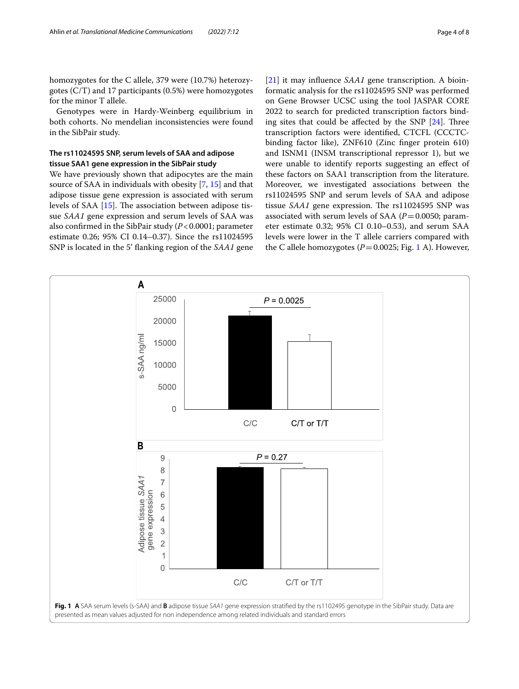homozygotes for the C allele, 379 were (10.7%) heterozygotes (C/T) and 17 participants (0.5%) were homozygotes for the minor T allele.

Genotypes were in Hardy-Weinberg equilibrium in both cohorts. No mendelian inconsistencies were found in the SibPair study.

# **The rs11024595 SNP, serum levels of SAA and adipose tissue SAA1 gene expression in the SibPair study**

We have previously shown that adipocytes are the main source of SAA in individuals with obesity [\[7](#page-6-7), [15\]](#page-7-3) and that adipose tissue gene expression is associated with serum levels of SAA  $[15]$ . The association between adipose tissue *SAA1* gene expression and serum levels of SAA was also confrmed in the SibPair study (*P*<0.0001; parameter estimate 0.26; 95% CI 0.14–0.37). Since the rs11024595 SNP is located in the 5' fanking region of the *SAA1* gene [[21\]](#page-7-8) it may infuence *SAA1* gene transcription. A bioinformatic analysis for the rs11024595 SNP was performed on Gene Browser UCSC using the tool JASPAR CORE 2022 to search for predicted transcription factors binding sites that could be affected by the SNP  $[24]$  $[24]$ . Three transcription factors were identifed, CTCFL (CCCTCbinding factor like), ZNF610 (Zinc fnger protein 610) and ISNM1 (INSM transcriptional repressor 1), but we were unable to identify reports suggesting an efect of these factors on SAA1 transcription from the literature. Moreover, we investigated associations between the rs11024595 SNP and serum levels of SAA and adipose tissue *SAA1* gene expression. The rs11024595 SNP was associated with serum levels of SAA  $(P=0.0050;$  parameter estimate 0.32; 95% CI 0.10–0.53), and serum SAA levels were lower in the T allele carriers compared with the C allele homozygotes  $(P=0.0025; Fig. 1 A)$  $(P=0.0025; Fig. 1 A)$  $(P=0.0025; Fig. 1 A)$ . However,

<span id="page-3-0"></span>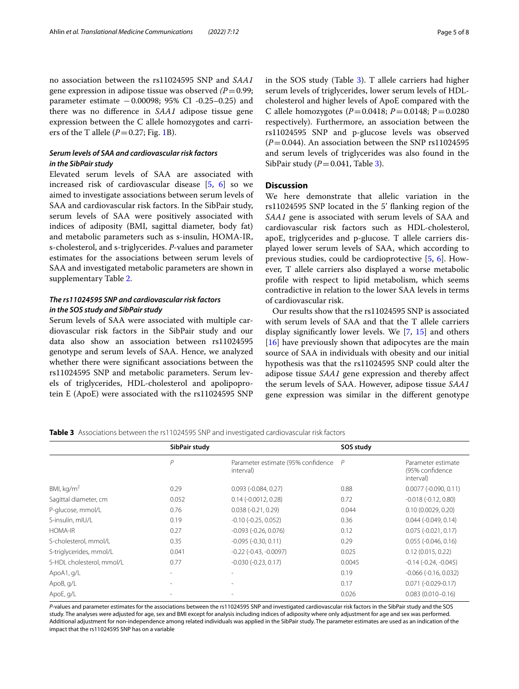no association between the rs11024595 SNP and *SAA1* gene expression in adipose tissue was observed *(P*=0.99; parameter estimate −0.00098; 95% CI -0.25–0.25) and there was no diference in *SAA1* adipose tissue gene expression between the C allele homozygotes and carriers of the T allele  $(P=0.27; Fig. 1B)$  $(P=0.27; Fig. 1B)$  $(P=0.27; Fig. 1B)$ .

# *Serum levels of SAA and cardiovascular risk factors in the SibPair study*

Elevated serum levels of SAA are associated with increased risk of cardiovascular disease [\[5](#page-6-3), [6\]](#page-6-9) so we aimed to investigate associations between serum levels of SAA and cardiovascular risk factors. In the SibPair study, serum levels of SAA were positively associated with indices of adiposity (BMI, sagittal diameter, body fat) and metabolic parameters such as s-insulin, HOMA-IR, s-cholesterol, and s-triglycerides. *P*-values and parameter estimates for the associations between serum levels of SAA and investigated metabolic parameters are shown in supplementary Table [2](#page-6-8).

# *The rs11024595 SNP and cardiovascular risk factors in the SOS study and SibPair study*

Serum levels of SAA were associated with multiple cardiovascular risk factors in the SibPair study and our data also show an association between rs11024595 genotype and serum levels of SAA. Hence, we analyzed whether there were signifcant associations between the rs11024595 SNP and metabolic parameters. Serum levels of triglycerides, HDL-cholesterol and apolipoprotein E (ApoE) were associated with the rs11024595 SNP in the SOS study (Table [3\)](#page-4-0). T allele carriers had higher serum levels of triglycerides, lower serum levels of HDLcholesterol and higher levels of ApoE compared with the C allele homozygotes (*P*=0.0418; *P*=0.0148; P=0.0280 respectively). Furthermore, an association between the rs11024595 SNP and p-glucose levels was observed  $(P=0.044)$ . An association between the SNP rs11024595 and serum levels of triglycerides was also found in the SibPair study  $(P=0.041,$  Table [3](#page-4-0)).

# **Discussion**

We here demonstrate that allelic variation in the rs11024595 SNP located in the 5' fanking region of the *SAA1* gene is associated with serum levels of SAA and cardiovascular risk factors such as HDL-cholesterol, apoE, triglycerides and p-glucose. T allele carriers displayed lower serum levels of SAA, which according to previous studies, could be cardioprotective [[5,](#page-6-3) [6](#page-6-9)]. However, T allele carriers also displayed a worse metabolic profle with respect to lipid metabolism, which seems contradictive in relation to the lower SAA levels in terms of cardiovascular risk.

Our results show that the rs11024595 SNP is associated with serum levels of SAA and that the T allele carriers display signifcantly lower levels. We [\[7](#page-6-7), [15\]](#page-7-3) and others [[16\]](#page-7-4) have previously shown that adipocytes are the main source of SAA in individuals with obesity and our initial hypothesis was that the rs11024595 SNP could alter the adipose tissue *SAA1* gene expression and thereby afect the serum levels of SAA. However, adipose tissue *SAA1* gene expression was similar in the diferent genotype

<span id="page-4-0"></span>**Table 3** Associations between the rs11024595 SNP and investigated cardiovascular risk factors

|                           | SibPair study |                                                 | SOS study      |                                                    |
|---------------------------|---------------|-------------------------------------------------|----------------|----------------------------------------------------|
|                           | P             | Parameter estimate (95% confidence<br>interval) | $\overline{P}$ | Parameter estimate<br>(95% confidence<br>interval) |
| BMI, $kg/m2$              | 0.29          | $0.093$ ( $-0.084$ , $0.27$ )                   | 0.88           | $0.0077$ (-0.090, 0.11)                            |
| Sagittal diameter, cm     | 0.052         | $0.14$ ( $-0.0012$ , $0.28$ )                   | 0.72           | $-0.018(-0.12, 0.80)$                              |
| P-glucose, mmol/L         | 0.76          | $0.038(-0.21, 0.29)$                            | 0.044          | 0.10(0.0029, 0.20)                                 |
| S-insulin, mIU/L          | 0.19          | $-0.10$ $(-0.25, 0.052)$                        | 0.36           | $0.044$ ( $-0.049$ , $0.14$ )                      |
| HOMA-IR                   | 0.27          | $-0.093$ $(-0.26, 0.076)$                       | 0.12           | $0.075(-0.021, 0.17)$                              |
| S-cholesterol, mmol/L     | 0.35          | $-0.095 (-0.30, 0.11)$                          | 0.29           | $0.055(-0.046, 0.16)$                              |
| S-triglycerides, mmol/L   | 0.041         | $-0.22$ ( $-0.43$ , $-0.0097$ )                 | 0.025          | 0.12(0.015, 0.22)                                  |
| S-HDL cholesterol, mmol/L | 0.77          | $-0.030(-0.23, 0.17)$                           | 0.0045         | $-0.14$ $(-0.24, -0.045)$                          |
| ApoA1, g/L                |               | $\overline{\phantom{a}}$                        | 0.19           | $-0.066$ $(-0.16, 0.032)$                          |
| ApoB, g/L                 |               | $\overline{\phantom{a}}$                        | 0.17           | $0.071(-0.029-0.17)$                               |
| ApoE, g/L                 |               |                                                 | 0.026          | $0.083(0.010 - 0.16)$                              |

*P*-values and parameter estimates for the associations between the rs11024595 SNP and investigated cardiovascular risk factors in the SibPair study and the SOS study. The analyses were adjusted for age, sex and BMI except for analysis including indices of adiposity where only adjustment for age and sex was performed. Additional adjustment for non-independence among related individuals was applied in the SibPair study. The parameter estimates are used as an indication of the impact that the rs11024595 SNP has on a variable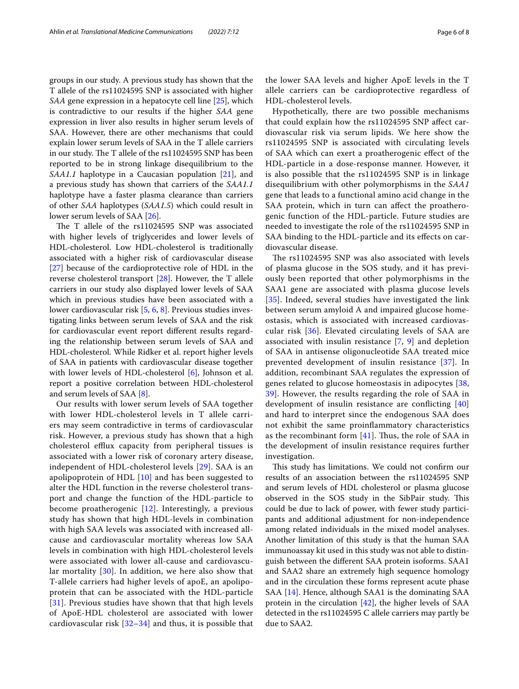groups in our study. A previous study has shown that the T allele of the rs11024595 SNP is associated with higher *SAA* gene expression in a hepatocyte cell line [[25\]](#page-7-12), which is contradictive to our results if the higher *SAA* gene expression in liver also results in higher serum levels of SAA. However, there are other mechanisms that could explain lower serum levels of SAA in the T allele carriers in our study. The T allele of the rs11024595 SNP has been reported to be in strong linkage disequilibrium to the *SAA1.1* haplotype in a Caucasian population [[21\]](#page-7-8), and a previous study has shown that carriers of the *SAA1.1* haplotype have a faster plasma clearance than carriers of other *SAA* haplotypes (*SAA1.5*) which could result in lower serum levels of SAA [[26](#page-7-13)].

The T allele of the rs11024595 SNP was associated with higher levels of triglycerides and lower levels of HDL-cholesterol. Low HDL-cholesterol is traditionally associated with a higher risk of cardiovascular disease [[27\]](#page-7-14) because of the cardioprotective role of HDL in the reverse cholesterol transport [[28\]](#page-7-15). However, the T allele carriers in our study also displayed lower levels of SAA which in previous studies have been associated with a lower cardiovascular risk [[5,](#page-6-3) [6](#page-6-9), [8](#page-6-10)]. Previous studies investigating links between serum levels of SAA and the risk for cardiovascular event report diferent results regarding the relationship between serum levels of SAA and HDL-cholesterol. While Ridker et al. report higher levels of SAA in patients with cardiovascular disease together with lower levels of HDL-cholesterol [[6\]](#page-6-9), Johnson et al. report a positive correlation between HDL-cholesterol and serum levels of SAA [[8\]](#page-6-10).

Our results with lower serum levels of SAA together with lower HDL-cholesterol levels in T allele carriers may seem contradictive in terms of cardiovascular risk. However, a previous study has shown that a high cholesterol efflux capacity from peripheral tissues is associated with a lower risk of coronary artery disease, independent of HDL-cholesterol levels [[29\]](#page-7-16). SAA is an apolipoprotein of HDL [\[10](#page-6-5)] and has been suggested to alter the HDL function in the reverse cholesterol transport and change the function of the HDL-particle to become proatherogenic [[12\]](#page-7-0). Interestingly, a previous study has shown that high HDL-levels in combination with high SAA levels was associated with increased allcause and cardiovascular mortality whereas low SAA levels in combination with high HDL-cholesterol levels were associated with lower all-cause and cardiovascular mortality [[30\]](#page-7-17). In addition, we here also show that T-allele carriers had higher levels of apoE, an apolipoprotein that can be associated with the HDL-particle [[31](#page-7-18)]. Previous studies have shown that that high levels of ApoE-HDL cholesterol are associated with lower cardiovascular risk  $[32-34]$  $[32-34]$  $[32-34]$  and thus, it is possible that the lower SAA levels and higher ApoE levels in the T allele carriers can be cardioprotective regardless of HDL-cholesterol levels.

Hypothetically, there are two possible mechanisms that could explain how the rs11024595 SNP afect cardiovascular risk via serum lipids. We here show the rs11024595 SNP is associated with circulating levels of SAA which can exert a proatherogenic efect of the HDL-particle in a dose-response manner. However, it is also possible that the rs11024595 SNP is in linkage disequilibrium with other polymorphisms in the *SAA1* gene that leads to a functional amino acid change in the SAA protein, which in turn can afect the proatherogenic function of the HDL-particle. Future studies are needed to investigate the role of the rs11024595 SNP in SAA binding to the HDL-particle and its efects on cardiovascular disease.

The rs11024595 SNP was also associated with levels of plasma glucose in the SOS study, and it has previously been reported that other polymorphisms in the SAA1 gene are associated with plasma glucose levels [[35](#page-7-21)]. Indeed, several studies have investigated the link between serum amyloid A and impaired glucose homeostasis, which is associated with increased cardiovascular risk [\[36](#page-7-22)]. Elevated circulating levels of SAA are associated with insulin resistance [\[7](#page-6-7), [9](#page-6-4)] and depletion of SAA in antisense oligonucleotide SAA treated mice prevented development of insulin resistance [[37](#page-7-23)]. In addition, recombinant SAA regulates the expression of genes related to glucose homeostasis in adipocytes [\[38](#page-7-24), [39\]](#page-7-25). However, the results regarding the role of SAA in development of insulin resistance are conficting [\[40](#page-7-26)] and hard to interpret since the endogenous SAA does not exhibit the same proinfammatory characteristics as the recombinant form  $[41]$  $[41]$ . Thus, the role of SAA in the development of insulin resistance requires further investigation.

This study has limitations. We could not confirm our results of an association between the rs11024595 SNP and serum levels of HDL cholesterol or plasma glucose observed in the SOS study in the SibPair study. This could be due to lack of power, with fewer study participants and additional adjustment for non-independence among related individuals in the mixed model analyses. Another limitation of this study is that the human SAA immunoassay kit used in this study was not able to distinguish between the diferent SAA protein isoforms. SAA1 and SAA2 share an extremely high sequence homology and in the circulation these forms represent acute phase SAA [[14\]](#page-7-2). Hence, although SAA1 is the dominating SAA protein in the circulation [[42\]](#page-7-28), the higher levels of SAA detected in the rs11024595 C allele carriers may partly be due to SAA2.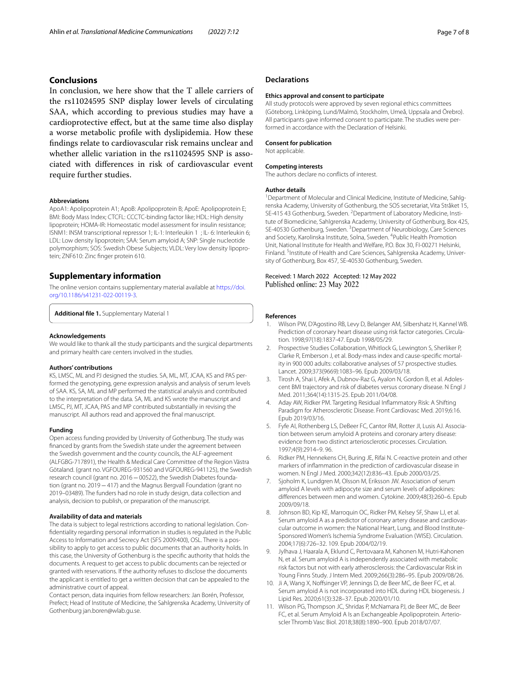# **Conclusions**

In conclusion, we here show that the T allele carriers of the rs11024595 SNP display lower levels of circulating SAA, which according to previous studies may have a cardioprotective efect, but at the same time also display a worse metabolic profle with dyslipidemia. How these fndings relate to cardiovascular risk remains unclear and whether allelic variation in the rs11024595 SNP is associated with diferences in risk of cardiovascular event require further studies.

#### **Abbreviations**

ApoA1: Apolipoprotein A1; ApoB: Apolipoprotein B; ApoE: Apolipoprotein E; BMI: Body Mass Index; CTCFL: CCCTC-binding factor like; HDL: High density lipoprotein; HOMA-IR: Homeostatic model assessment for insulin resistance; ISNM1: INSM transcriptional repressor 1; IL-1: Interleukin 1 ; IL- 6: Interleukin 6; LDL: Low density lipoprotein; SAA: Serum amyloid A; SNP: Single nucleotide polymorphism; SOS: Swedish Obese Subjects; VLDL: Very low density lipoprotein; ZNF610: Zinc fnger protein 610.

## **Supplementary information**

The online version contains supplementary material available at [https://doi.](https://doi.org/10.1186/s41231-022-00119-3) [org/10.1186/s41231-022-00119-3](https://doi.org/10.1186/s41231-022-00119-3).

<span id="page-6-8"></span>**Additional fle 1.** Supplementary Material 1

#### **Acknowledgements**

We would like to thank all the study participants and the surgical departments and primary health care centers involved in the studies.

#### **Authors' contributions**

KS, LMSC, ML and PJ designed the studies. SA, ML, MT, JCAA, KS and PAS performed the genotyping, gene expression analysis and analysis of serum levels of SAA. KS, SA, ML and MP performed the statistical analysis and contributed to the interpretation of the data. SA, ML and KS wrote the manuscript and LMSC, PJ, MT, JCAA, PAS and MP contributed substantially in revising the manuscript. All authors read and approved the fnal manuscript.

#### **Funding**

Open access funding provided by University of Gothenburg. The study was fnanced by grants from the Swedish state under the agreement between the Swedish government and the county councils, the ALF-agreement (ALFGBG-717891), the Health & Medical Care Committee of the Region Västra Götaland. (grant no. VGFOUREG-931560 and VGFOUREG-941125), the Swedish research council (grant no. 2016 - 00522), the Swedish Diabetes foundation (grant no. 2019−417) and the Magnus Bergvall Foundation (grant no 2019–03489). The funders had no role in study design, data collection and analysis, decision to publish, or preparation of the manuscript.

#### **Availability of data and materials**

The data is subject to legal restrictions according to national legislation. Confdentiality regarding personal information in studies is regulated in the Public Access to Information and Secrecy Act (SFS 2009:400), OSL. There is a possibility to apply to get access to public documents that an authority holds. In this case, the University of Gothenburg is the specifc authority that holds the documents. A request to get access to public documents can be rejected or granted with reservations. If the authority refuses to disclose the documents the applicant is entitled to get a written decision that can be appealed to the administrative court of appeal.

Contact person, data inquiries from fellow researchers: Jan Borén, Professor, Prefect; Head of Institute of Medicine, the Sahlgrenska Academy, University of Gothenburg jan.boren@wlab.gu.se.

## **Declarations**

#### **Ethics approval and consent to participate**

All study protocols were approved by seven regional ethics committees (Göteborg, Linköping, Lund/Malmö, Stockholm, Umeå, Uppsala and Örebro). All participants gave informed consent to participate. The studies were performed in accordance with the Declaration of Helsinki.

## **Consent for publication**

Not applicable.

#### **Competing interests**

The authors declare no conficts of interest.

#### **Author details**

<sup>1</sup> Department of Molecular and Clinical Medicine, Institute of Medicine, Sahlgrenska Academy, University of Gothenburg, the SOS secretariat, Vita Stråket 15, SE-415 43 Gothenburg, Sweden. <sup>2</sup> Department of Laboratory Medicine, Institute of Biomedicine, Sahlgrenska Academy, University of Gothenburg, Box 425, SE-40530 Gothenburg, Sweden.<sup>3</sup> Department of Neurobiology, Care Sciences and Society, Karolinska Institute, Solna, Sweden. <sup>4</sup>Public Health Promotion Unit, National Institute for Health and Welfare, P.O. Box 30, FI‑00271 Helsinki, Finland. <sup>5</sup>Institute of Health and Care Sciences, Sahlgrenska Academy, University of Gothenburg, Box 457, SE‑40530 Gothenburg, Sweden.

Received: 1 March 2022 Accepted: 12 May 2022 Published online: 23 May 2022

#### **References**

- <span id="page-6-0"></span>1. Wilson PW, D'Agostino RB, Levy D, Belanger AM, Silbershatz H, Kannel WB. Prediction of coronary heart disease using risk factor categories. Circulation. 1998;97(18):1837-47. Epub 1998/05/29.
- 2. Prospective Studies Collaboration, Whitlock G, Lewington S, Sherliker P, Clarke R, Emberson J, et al. Body-mass index and cause-specific mortality in 900 000 adults: collaborative analyses of 57 prospective studies. Lancet. 2009;373(9669):1083–96. Epub 2009/03/18.
- <span id="page-6-1"></span>3. Tirosh A, Shai I, Afek A, Dubnov-Raz G, Ayalon N, Gordon B, et al. Adolescent BMI trajectory and risk of diabetes versus coronary disease. N Engl J Med. 2011;364(14):1315-25. Epub 2011/04/08.
- <span id="page-6-2"></span>4. Aday AW, Ridker PM. Targeting Residual Infammatory Risk: A Shifting Paradigm for Atherosclerotic Disease. Front Cardiovasc Med. 2019;6:16. Epub 2019/03/16.
- <span id="page-6-3"></span>5. Fyfe AI, Rothenberg LS, DeBeer FC, Cantor RM, Rotter JI, Lusis AJ. Association between serum amyloid A proteins and coronary artery disease: evidence from two distinct arteriosclerotic processes. Circulation. 1997;4(9):2914–9. 96.
- <span id="page-6-9"></span>6. Ridker PM, Hennekens CH, Buring JE, Rifai N. C-reactive protein and other markers of infammation in the prediction of cardiovascular disease in women. N Engl J Med. 2000;342(12):836–43. Epub 2000/03/25.
- <span id="page-6-7"></span>7. Sjoholm K, Lundgren M, Olsson M, Eriksson JW. Association of serum amyloid A levels with adipocyte size and serum levels of adipokines: diferences between men and women. Cytokine. 2009;48(3):260–6. Epub 2009/09/18.
- <span id="page-6-10"></span>8. Johnson BD, Kip KE, Marroquin OC, Ridker PM, Kelsey SF, Shaw LJ, et al. Serum amyloid A as a predictor of coronary artery disease and cardiovascular outcome in women: the National Heart, Lung, and Blood Institute-Sponsored Women's Ischemia Syndrome Evaluation (WISE). Circulation. 2004;17(6):726–32. 109. Epub 2004/02/19.
- <span id="page-6-4"></span>9. Jylhava J, Haarala A, Eklund C, Pertovaara M, Kahonen M, Hutri-Kahonen N, et al. Serum amyloid A is independently associated with metabolic risk factors but not with early atherosclerosis: the Cardiovascular Risk in Young Finns Study. J Intern Med. 2009;266(3):286–95. Epub 2009/08/26.
- <span id="page-6-5"></span>10. Ji A, Wang X, Nofsinger VP, Jennings D, de Beer MC, de Beer FC, et al. Serum amyloid A is not incorporated into HDL during HDL biogenesis. J Lipid Res. 2020;61(3):328–37. Epub 2020/01/10.
- <span id="page-6-6"></span>11. Wilson PG, Thompson JC, Shridas P, McNamara PJ, de Beer MC, de Beer FC, et al. Serum Amyloid A Is an Exchangeable Apolipoprotein. Arterioscler Thromb Vasc Biol. 2018;38(8):1890–900. Epub 2018/07/07.